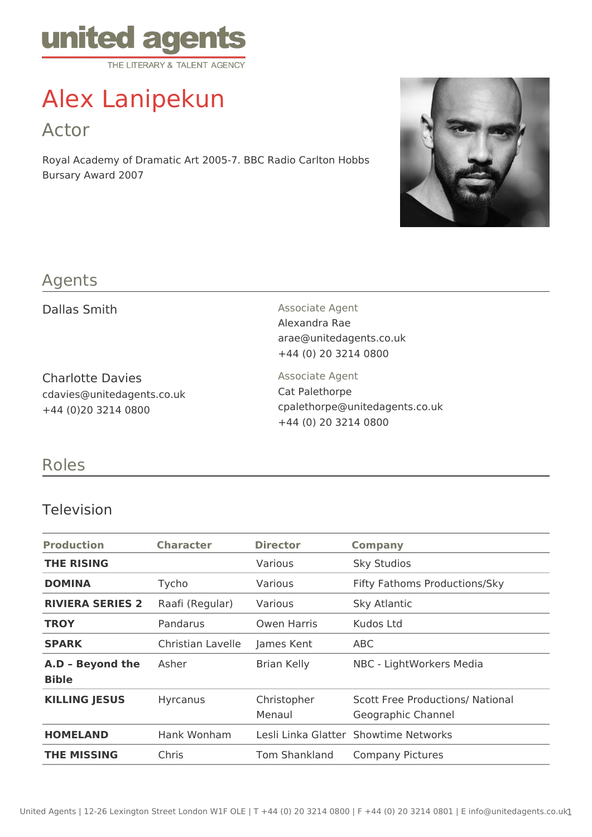

# Alex Lanipekun

Actor

Royal Academy of Dramatic Art 2005-7. BBC Radio Carlton Hobbs Bursary Award 2007



## Agents

Charlotte Davies cdavies@unitedagents.co.uk +44 (0)20 3214 0800

Dallas Smith Associate Agent Alexandra Rae arae@unitedagents.co.uk +44 (0) 20 3214 0800

> Associate Agent Cat Palethorpe cpalethorpe@unitedagents.co.uk +44 (0) 20 3214 0800

### Roles

#### Television

| <b>Production</b>                | <b>Character</b>  | <b>Director</b>       | <b>Company</b>                                                |
|----------------------------------|-------------------|-----------------------|---------------------------------------------------------------|
| <b>THE RISING</b>                |                   | Various               | <b>Sky Studios</b>                                            |
| <b>DOMINA</b>                    | Tycho             | Various               | Fifty Fathoms Productions/Sky                                 |
| <b>RIVIERA SERIES 2</b>          | Raafi (Regular)   | Various               | Sky Atlantic                                                  |
| <b>TROY</b>                      | Pandarus          | Owen Harris           | Kudos Ltd                                                     |
| <b>SPARK</b>                     | Christian Lavelle | James Kent            | ABC                                                           |
| A.D - Beyond the<br><b>Bible</b> | Asher             | <b>Brian Kelly</b>    | NBC - LightWorkers Media                                      |
| <b>KILLING JESUS</b>             | <b>Hyrcanus</b>   | Christopher<br>Menaul | <b>Scott Free Productions/ National</b><br>Geographic Channel |
| <b>HOMELAND</b>                  | Hank Wonham       |                       | Lesli Linka Glatter Showtime Networks                         |
| <b>THE MISSING</b>               | Chris             | Tom Shankland         | <b>Company Pictures</b>                                       |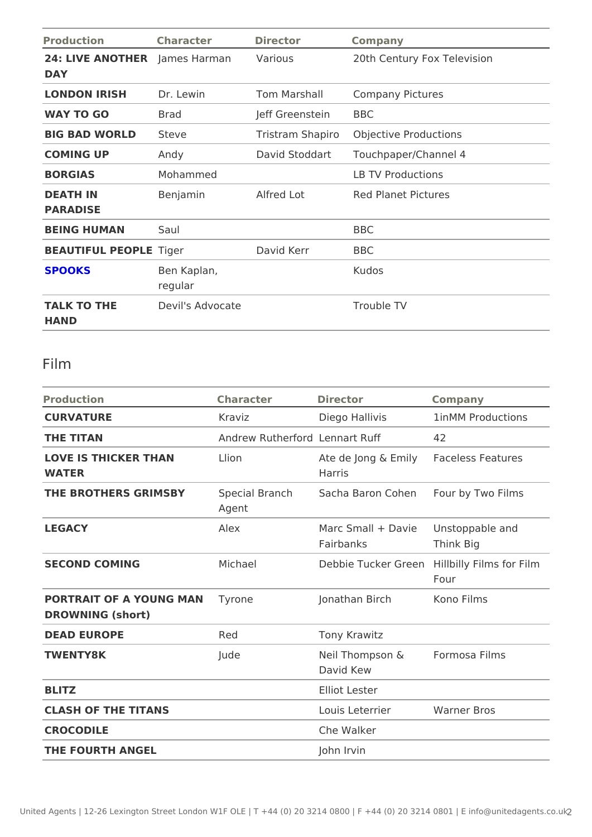| Production                                  | Character Director     |                    | Company                               |
|---------------------------------------------|------------------------|--------------------|---------------------------------------|
| 24: LIVE ANOTH EaRmes Harman Various<br>DAY |                        |                    | 20th Century Fox Television           |
| LONDON IRISH Dr. Lewin                      |                        |                    | Tom Marshall Company Pictures         |
| WAY TO GO                                   | Brad                   | Jeff GreensteiBnBC |                                       |
| <b>BIG BAD WORLDSteve</b>                   |                        |                    | Tristram Shap Orbojective Productions |
| COMING UP                                   | Andy                   |                    | David StoddarTouchpaper/Channel 4     |
| <b>BORGIAS</b>                              | Mohammed               |                    | LB TV Productions                     |
| DEATH IN<br>PARADISE                        | Benjamin               | Alfred Lot         | Red Planet Pictures                   |
| BEING HUMAN                                 | Saul                   |                    | <b>BBC</b>                            |
| BEAUTIFUL PEOPLOGE r                        |                        | David Kerr         | BBC                                   |
| <b>SPOOKS</b>                               | Ben Kaplan,<br>regular |                    | Kudos                                 |
| TALK TO THE<br>HAND                         | Devil's Advocate       |                    | Trouble TV                            |

## Film

| Production                                                           | Character | Director                                   | Company                                        |
|----------------------------------------------------------------------|-----------|--------------------------------------------|------------------------------------------------|
| CURVATURE                                                            | Kraviz    | Diego Hallivis                             | 1in MM Productions                             |
| THE TITAN                                                            |           | Andrew RutherLendart Ruff                  | 42                                             |
| LOVE IS THICKER THAN Llion<br>WATER                                  |           | Harris                                     | Ate de Jong & Emalgeless Features              |
| THE BROTHERS GRIMSB Special BranchSacha Baron CohFeonur by Two Films | Agent     |                                            |                                                |
| LEGACY                                                               | Alex      | Fairbanks                                  | Marc Small + Da Uirestoppable and<br>Think Big |
| SECOND COMING                                                        | Michael   |                                            | Debbie Tucker Ghedbilly Films for Film<br>Four |
| PORTRAIT OF A YOUNG MAN he<br>DROWNING (short)                       |           | Jonathan Birch Kono Films                  |                                                |
| DEAD EUROPE                                                          | Red       | Tony Krawitz                               |                                                |
| TWENTY8K                                                             | Jude      | Neil Thompson & Formosa Films<br>David Kew |                                                |
| <b>BLITZ</b>                                                         |           | <b>Elliot Lester</b>                       |                                                |
| CLASH OF THE TITANS                                                  |           | Louis Leterrier Warner Bros                |                                                |
| CROCODILE                                                            |           | Che Walker                                 |                                                |
| THE FOURTH ANGEL                                                     |           | John Irvin                                 |                                                |
|                                                                      |           |                                            |                                                |